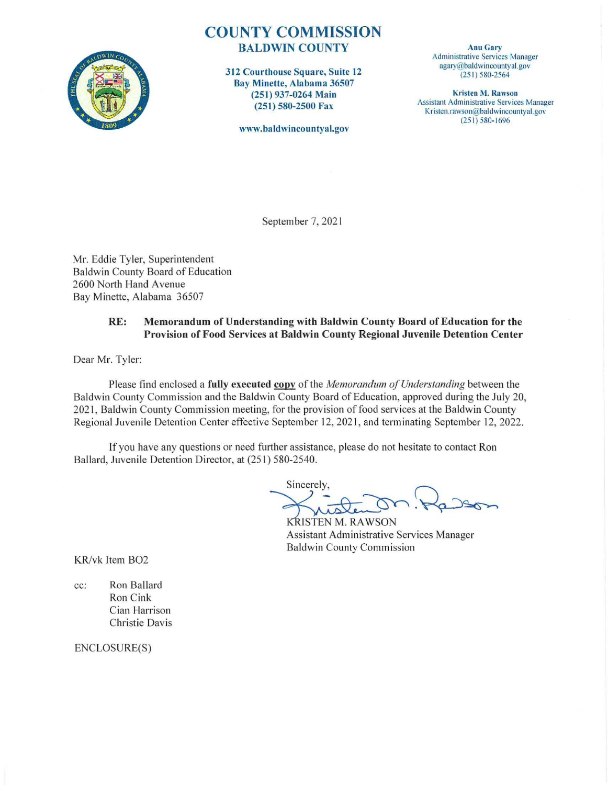

# **COUNTY COMMISSION**  BALDWIN COUNTY

312 Courthouse Square, Suite 12 Bay Minette, Alabama 36507 (251) 937-0264 Main (251 ) 580-2500 Fax

www.baldwincountyal.gov

Anu Gary Administrative Services Manager agary@baldwincountyal.gov (25 1) 580-2564

Kristen M. Rawson Assistant Administrative Services Manager Kristen.rawson@baldwincountyal.gov (25 1) 580- 1696

September 7, 2021

Mr. Eddie Tyler, Superintendent Baldwin County Board of Education 2600 North Hand Avenue Bay Minette, Alabama 36507

### RE: Memorandum of Understanding with Baldwin County Board of Education for the Provision of Food Services at Baldwin County Regional Juvenile Detention Center

Dear Mr. Tyler:

Please find enclosed a **fully executed copy** of the *Memorandum of Understanding* between the Baldwin County Commission and the Baldwin County Board of Education, approved during the July 20, 2021, Baldwin County Commission meeting, for the provision of food services at the Baldwin County Regional Juvenile Detention Center effective September 12, 202 1, and terminating September 12, 2022.

If you have any questions or need further assistance, please do not hesitate to contact Ron Ballard, Juvenile Detention Director, at (251) 580-2540.

Sincerely,  $=25.82$ 

Assistant Administrative Services Manager Baldwin County Commission

KR/vk Item B02

cc: Ron Ballard Ron Cink Cian Harrison Christie Davis

ENCLOSURE(S)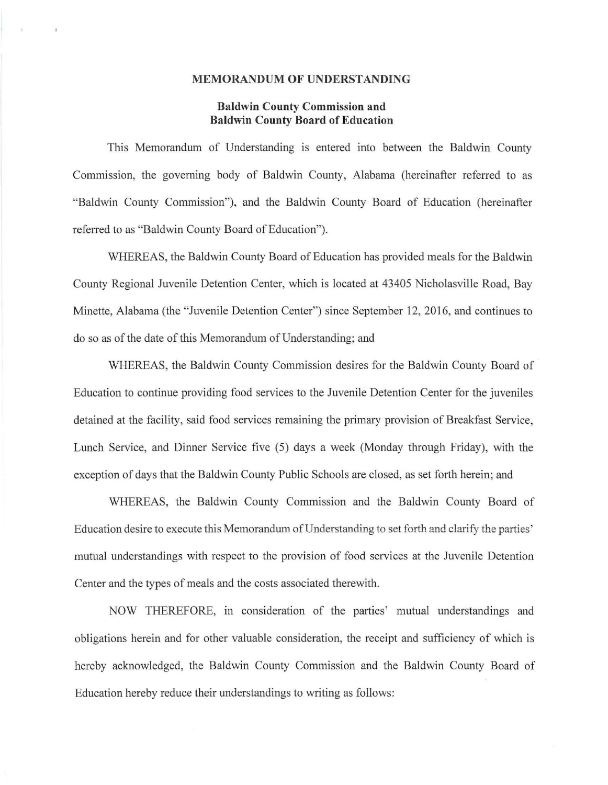#### **MEMORANDUM OF UNDERSTANDING**

## **Baldwin County Commission and Baldwin County Board of Education**

This Memorandum of Understanding is entered into between the Baldwin County Commission, the governing body of Baldwin County, Alabama (hereinafter refened to as "Baldwin County Commission"), and the Baldwin County Board of Education (hereinafter referred to as "Baldwin County Board of Education").

WHEREAS, the Baldwin County Board of Education has provided meals for the Baldwin County Regional Juvenile Detention Center, which is located at 43405 Nicholasville Road, Bay Minette, Alabama (the "Juvenile Detention Center") since September 12, 2016, and continues to do so as of the date of this Memorandum of Understanding; and

WHEREAS, the Baldwin County Commission desires for the Baldwin County Board of Education to continue providing food services to the Juvenile Detention Center for the juveniles detained at the facility, said food services remaining the primary provision of Breakfast Service, Lunch Service, and Dinner Service five (5) days a week (Monday through Friday), with the exception of days that the Baldwin County Public Schools are closed, as set forth herein; and

WHEREAS, the Baldwin County Commission and the Baldwin County Board of Education desire to execute this Memorandum of Understanding to set forth and clarify the parties' mutual understandings with respect to the provision of food services at the Juvenile Detention Center and the types of meals and the costs associated therewith.

NOW THEREFORE, in consideration of the parties' mutual understandings and obligations herein and for other valuable consideration, the receipt and sufficiency of which is hereby acknowledged, the Baldwin County Commission and the Baldwin County Board of Education hereby reduce their understandings to writing as follows: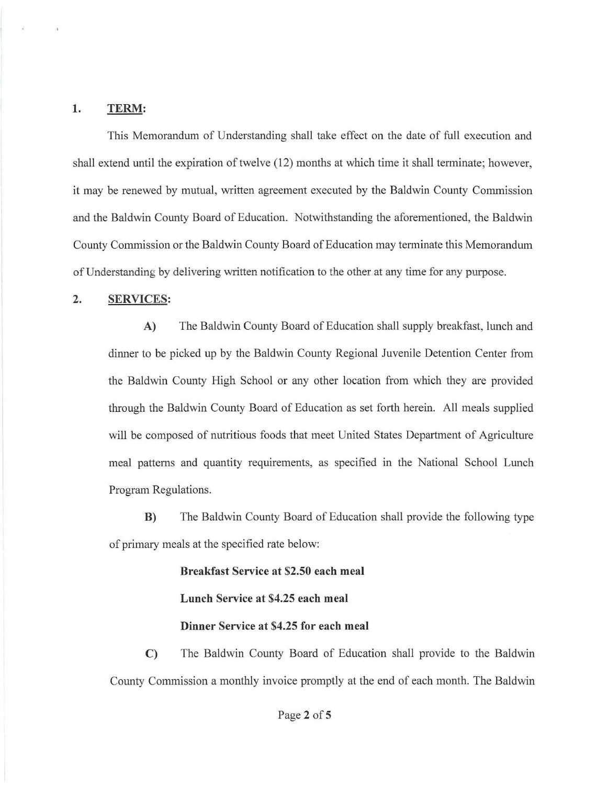#### **1. TERM:**

This Memorandum of Understanding shall take effect on the date of full execution and shall extend until the expiration of twelve ( 12) months at which time it shall terminate; however, it may be renewed by mutual, written agreement executed by the Baldwin County Commission and the Baldwin County Board of Education. Notwithstanding the aforementioned, the Baldwin County Commission or the Baldwin County Board of Education may terminate this Memorandum of Understanding by delivering written notification to the other at any time for any purpose.

#### **2. SERVICES:**

**A)** The Baldwin County Board of Education shall supply breakfast, lunch and dinner to be picked up by the Baldwin County Regional Juvenile Detention Center from the Baldwin County High School or any other location from which they are provided through the Baldwin County Board of Education as set forth herein. All meals supplied will be composed of nutritious foods that meet United States Department of Agriculture meal patterns and quantity requirements, as specified in the National School Lunch Program Regulations.

**B)** The Baldwin County Board of Education shall provide the following type of primary meals at the specified rate below:

> **Breakfast Service at \$2.50 each meal Lunch Service at \$4.25 each meal Dinner Service at \$4.25 for each meal**

**C)** The Baldwin County Board of Education shall provide to the Baldwin County Commission a monthly invoice promptly at the end of each month. The Baldwin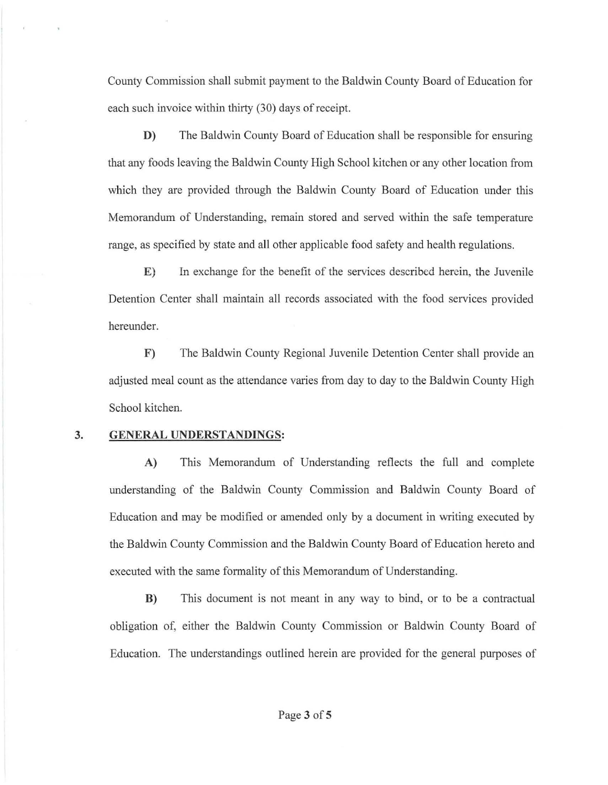County Commission shall submit payment to the Baldwin County Board of Education for each such invoice within thirty (30) days of receipt.

**D)** The Baldwin County Board of Education shall be responsible for ensuring that any foods leaving the Baldwin County High School kitchen or any other location from which they are provided through the Baldwin County Board of Education under this Memorandum of Understanding, remain stored and served within the safe temperature range, as specified by state and all other applicable food safety and health regulations.

**E)** In exchange for the benefit of the services described herein, the Juvenile Detention Center shall maintain all records associated with the food services provided hereunder.

**F)** The Baldwin County Regional Juvenile Detention Center shall provide an adjusted meal count as the attendance varies from day to day to the Baldwin County High School kitchen.

### **3. GENERAL UNDERSTANDINGS:**

**A)** This Memorandum of Understanding reflects the full and complete understanding of the Baldwin County Commission and Baldwin County Board of Education and may be modified or amended only by a document in writing executed by the Baldwin County Commission and the Baldwin County Board of Education hereto and executed with the same formality of this Memorandum of Understanding.

**B)** This document is not meant in any way to bind, or to be a contractual obligation of, either the Baldwin County Commission or Baldwin County Board of Education. The understandings outlined herein are provided for the general purposes of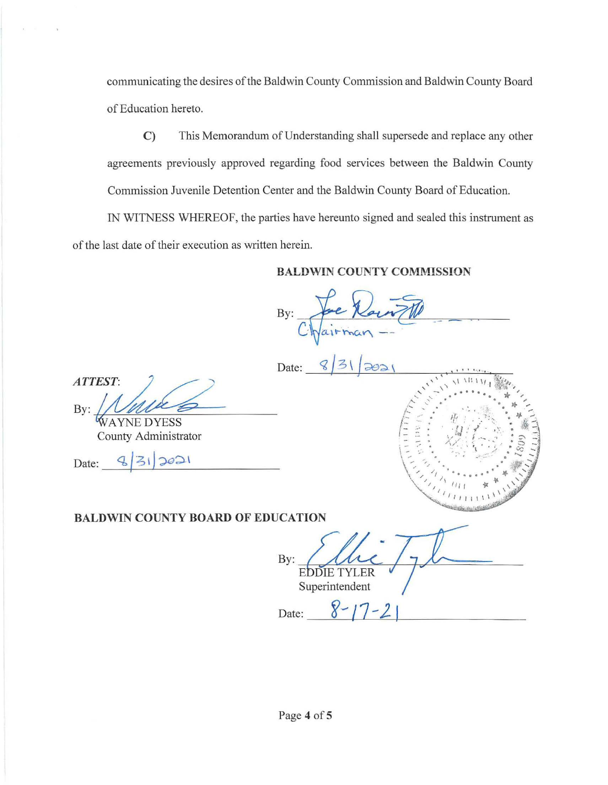communicating the desires of the Baldwin County Commission and Baldwin County Board of Education hereto.

C) This Memorandum of Understanding shall supersede and replace any other agreements previously approved regarding food services between the Baldwin County Commission Juvenile Detention Center and the Baldwin County Board of Education.

IN WITNESS WHEREOF, the parties have hereunto signed and sealed this instrument as of the last date of their execution as written herein.

## **BALDWIN COUNTY COMMISSION**

 $By:$  fre Rount

' \ <sup>I</sup>\I'. I \/ I \$\'1, '' \ '\ **···f:t.tt** , ,' ' - . . . . . . . \* ti~ **A** .... • • ;  $\mathcal{L}^{(1)}_{\mathcal{L}}$  ,  $\mathcal{L}^{(2)}_{\mathcal{L}}$  ,  $\mathcal{L}^{(3)}_{\mathcal{L}}$  ,  $\mathcal{L}^{(4)}_{\mathcal{L}}$  ,  $\mathcal{L}^{(5)}_{\mathcal{L}}$ 

ESE # 3

\ ......... ,. ,.,,.· .. • • • **.-'\$-Jf** ,'  $\set{ \cdot, \cdot }$  /  $\cdot \cdot \cdot$  ....  $\cdot \cdot \cdot$  .....  $\ast$ \ / /\ . \ ' ' ', ,,,, ~ ,, . I I \ \ ,j(

 $\mathbb{Z}^{(1)}$  i i i i i i  $\mathbb{Z}$ 

Date: q / 3 \ *(;;ed.-\* , , . ..... .. ---..f-- ~~-'- +-'--' ---'-'-'--,-,-

 $ATTEST:$  $By: *WAYNE DYESS*$ MURS

County Administrator

 $Date: \frac{9}{3} \mid 31$   $2021$ 

# **BALDWIN COUNTY BOARD OF EDUCATION**

By:  $\mu$ **EDDIE TYLER** Superintendent

Date:  $8 - 17 - 2$